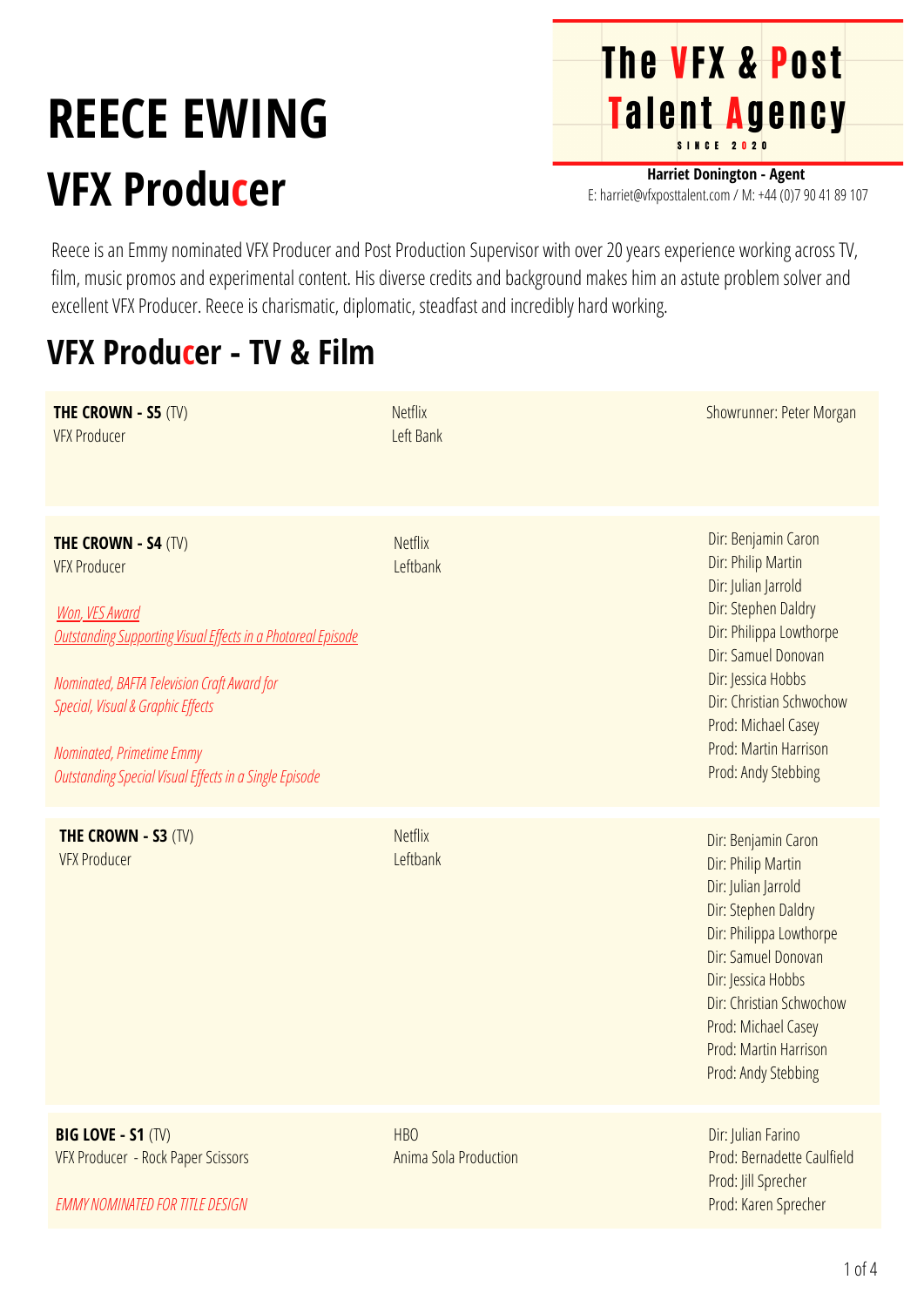## **REECE EWING VFX Producer**

**The VFX & Post** Talent Agency

**Harriet Donington - Agent** E: harriet@vfxposttalent.com / M: +44 (0)7 90 41 89 107

Reece is an Emmy nominated VFX Producer and Post Production Supervisor with over 20 years experience working across TV, film, music promos and experimental content. His diverse credits and background makes him an astute problem solver and excellent VFX Producer. Reece is charismatic, diplomatic, steadfast and incredibly hard working.

## **VFX Producer - TV & Film**

| <b>THE CROWN - S5 (TV)</b><br><b>VFX Producer</b>                                                                                                                                                                                                                                                                            | <b>Netflix</b><br>Left Bank         | Showrunner: Peter Morgan                                                                                                                                                                                                                                           |
|------------------------------------------------------------------------------------------------------------------------------------------------------------------------------------------------------------------------------------------------------------------------------------------------------------------------------|-------------------------------------|--------------------------------------------------------------------------------------------------------------------------------------------------------------------------------------------------------------------------------------------------------------------|
| <b>THE CROWN - S4 (TV)</b><br><b>VFX Producer</b><br><b>Won, VES Award</b><br><b>Outstanding Supporting Visual Effects in a Photoreal Episode</b><br>Nominated, BAFTA Television Craft Award for<br>Special, Visual & Graphic Effects<br>Nominated, Primetime Emmy<br>Outstanding Special Visual Effects in a Single Episode | <b>Netflix</b><br>Leftbank          | Dir: Benjamin Caron<br>Dir: Philip Martin<br>Dir: Julian Jarrold<br>Dir: Stephen Daldry<br>Dir: Philippa Lowthorpe<br>Dir: Samuel Donovan<br>Dir: Jessica Hobbs<br>Dir: Christian Schwochow<br>Prod: Michael Casey<br>Prod: Martin Harrison<br>Prod: Andy Stebbing |
| <b>THE CROWN - S3 (TV)</b><br><b>VFX Producer</b>                                                                                                                                                                                                                                                                            | <b>Netflix</b><br>Leftbank          | Dir: Benjamin Caron<br>Dir: Philip Martin<br>Dir: Julian Jarrold<br>Dir: Stephen Daldry<br>Dir: Philippa Lowthorpe<br>Dir: Samuel Donovan<br>Dir: Jessica Hobbs<br>Dir: Christian Schwochow<br>Prod: Michael Casey<br>Prod: Martin Harrison<br>Prod: Andy Stebbing |
| <b>BIG LOVE - S1 (TV)</b><br>VFX Producer - Rock Paper Scissors<br><b>EMMY NOMINATED FOR TITLE DESIGN</b>                                                                                                                                                                                                                    | <b>HBO</b><br>Anima Sola Production | Dir: Julian Farino<br>Prod: Bernadette Caulfield<br>Prod: Jill Sprecher<br>Prod: Karen Sprecher                                                                                                                                                                    |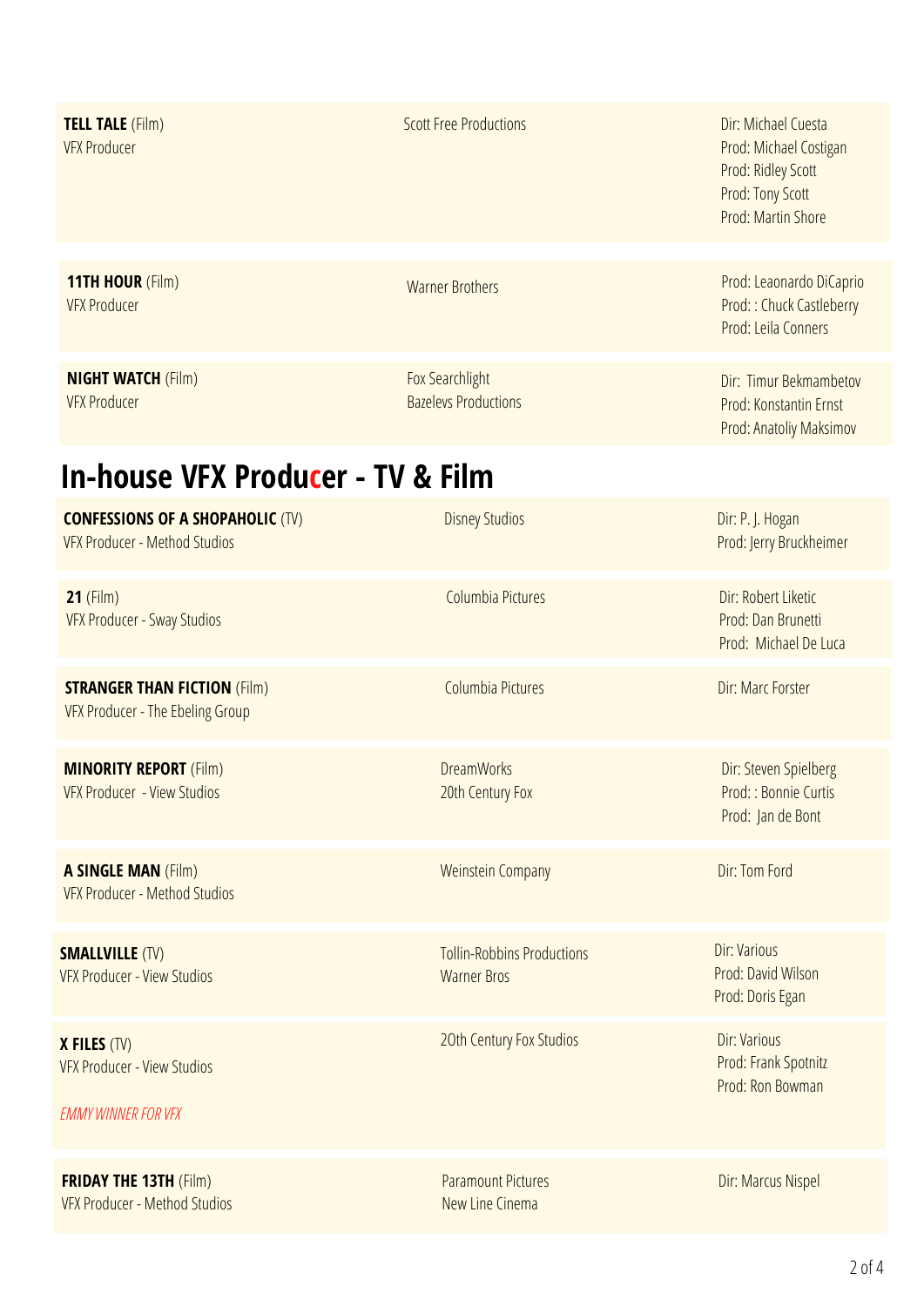| <b>TELL TALE</b> (Film)<br><b>VFX Producer</b>                                          | <b>Scott Free Productions</b>                           | Dir: Michael Cuesta<br>Prod: Michael Costigan<br>Prod: Ridley Scott<br>Prod: Tony Scott<br>Prod: Martin Shore |
|-----------------------------------------------------------------------------------------|---------------------------------------------------------|---------------------------------------------------------------------------------------------------------------|
| <b>11TH HOUR (Film)</b><br><b>VFX Producer</b>                                          | <b>Warner Brothers</b>                                  | Prod: Leaonardo DiCaprio<br>Prod:: Chuck Castleberry<br>Prod: Leila Conners                                   |
| <b>NIGHT WATCH (Film)</b><br><b>VFX Producer</b>                                        | Fox Searchlight<br><b>Bazelevs Productions</b>          | Dir: Timur Bekmambetov<br>Prod: Konstantin Ernst<br>Prod: Anatoliy Maksimov                                   |
| <b>In-house VFX Producer - TV &amp; Film</b>                                            |                                                         |                                                                                                               |
| <b>CONFESSIONS OF A SHOPAHOLIC (TV)</b><br><b>VFX Producer - Method Studios</b>         | <b>Disney Studios</b>                                   | Dir: P. J. Hogan<br>Prod: Jerry Bruckheimer                                                                   |
| $21$ (Film)<br><b>VFX Producer - Sway Studios</b>                                       | Columbia Pictures                                       | Dir: Robert Liketic<br>Prod: Dan Brunetti<br>Prod: Michael De Luca                                            |
| <b>STRANGER THAN FICTION (Film)</b><br>VFX Producer - The Ebeling Group                 | Columbia Pictures                                       | Dir: Marc Forster                                                                                             |
| <b>MINORITY REPORT (Film)</b><br>VFX Producer - View Studios                            | <b>DreamWorks</b><br>20th Century Fox                   | Dir: Steven Spielberg<br>Prod: : Bonnie Curtis<br>Prod: Jan de Bont                                           |
| <b>A SINGLE MAN (Film)</b><br>VFX Producer - Method Studios                             | <b>Weinstein Company</b>                                | Dir: Tom Ford                                                                                                 |
| <b>SMALLVILLE (TV)</b><br>VFX Producer - View Studios                                   | <b>Tollin-Robbins Productions</b><br><b>Warner Bros</b> | Dir: Various<br>Prod: David Wilson<br>Prod: Doris Egan                                                        |
| <b>X FILES (TV)</b><br><b>VFX Producer - View Studios</b><br><b>EMMY WINNER FOR VFX</b> | 20th Century Fox Studios                                | Dir: Various<br>Prod: Frank Spotnitz<br>Prod: Ron Bowman                                                      |
| <b>FRIDAY THE 13TH (Film)</b><br><b>VFX Producer - Method Studios</b>                   | <b>Paramount Pictures</b><br>New Line Cinema            | Dir: Marcus Nispel                                                                                            |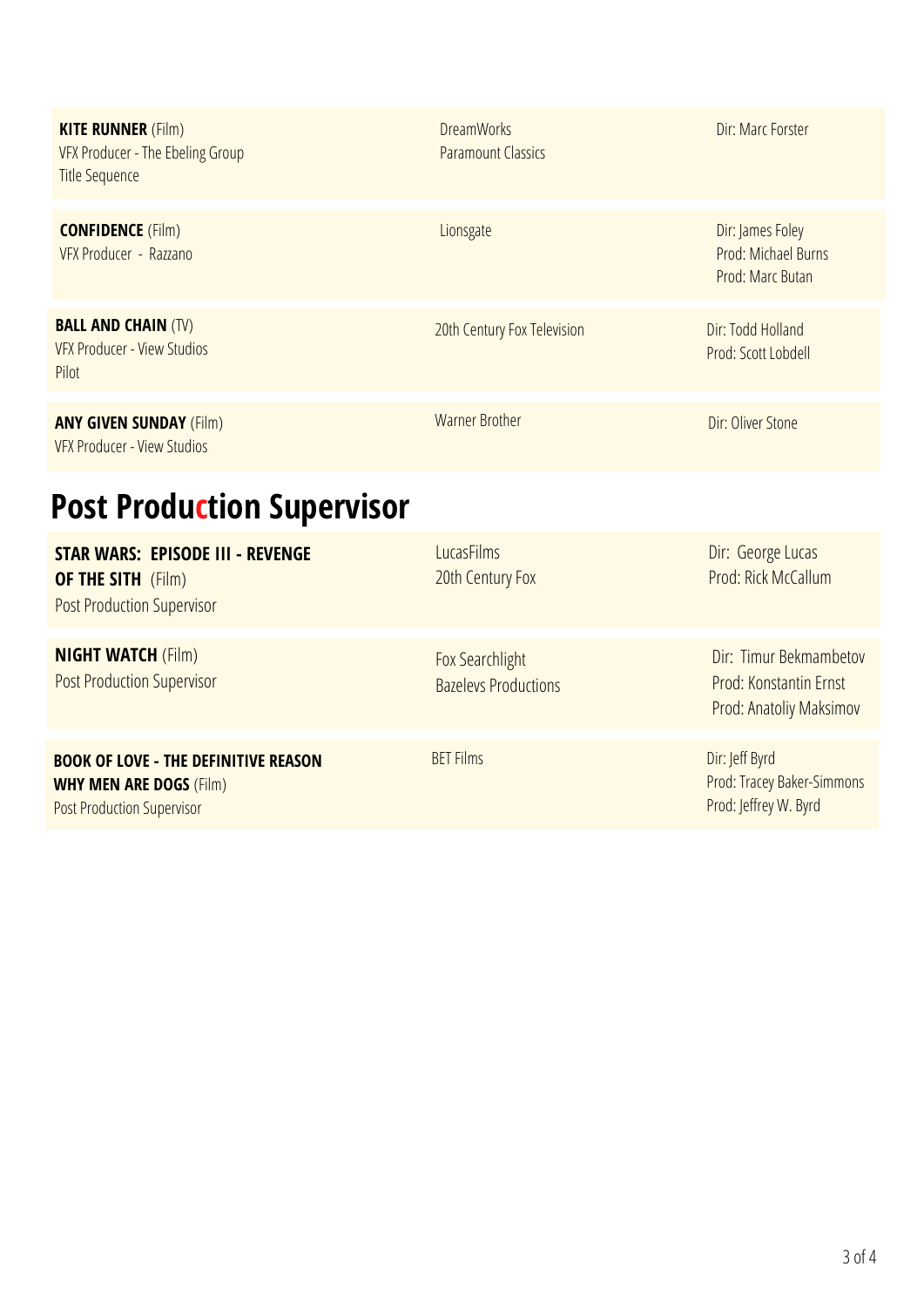| <b>KITE RUNNER (Film)</b><br>VFX Producer - The Ebeling Group<br><b>Title Sequence</b>                             | <b>DreamWorks</b><br><b>Paramount Classics</b> | Dir: Marc Forster                                                           |
|--------------------------------------------------------------------------------------------------------------------|------------------------------------------------|-----------------------------------------------------------------------------|
| <b>CONFIDENCE (Film)</b><br>VFX Producer - Razzano                                                                 | Lionsgate                                      | Dir: James Foley<br>Prod: Michael Burns<br>Prod: Marc Butan                 |
| <b>BALL AND CHAIN (TV)</b><br>VFX Producer - View Studios<br>Pilot                                                 | 20th Century Fox Television                    | Dir: Todd Holland<br>Prod: Scott Lobdell                                    |
| <b>ANY GIVEN SUNDAY (Film)</b><br>VFX Producer - View Studios                                                      | <b>Warner Brother</b>                          | Dir: Oliver Stone                                                           |
| <b>Post Production Supervisor</b>                                                                                  |                                                |                                                                             |
| <b>STAR WARS: EPISODE III - REVENGE</b><br><b>OF THE SITH</b> (Film)<br><b>Post Production Supervisor</b>          | <b>LucasFilms</b><br>20th Century Fox          | Dir: George Lucas<br>Prod: Rick McCallum                                    |
| <b>NIGHT WATCH (Film)</b><br><b>Post Production Supervisor</b>                                                     | Fox Searchlight<br><b>Bazelevs Productions</b> | Dir: Timur Bekmambetov<br>Prod: Konstantin Ernst<br>Prod: Anatoliy Maksimov |
| <b>BOOK OF LOVE - THE DEFINITIVE REASON</b><br><b>WHY MEN ARE DOGS (Film)</b><br><b>Post Production Supervisor</b> | <b>BET Films</b>                               | Dir: Jeff Byrd<br>Prod: Tracey Baker-Simmons<br>Prod: Jeffrey W. Byrd       |